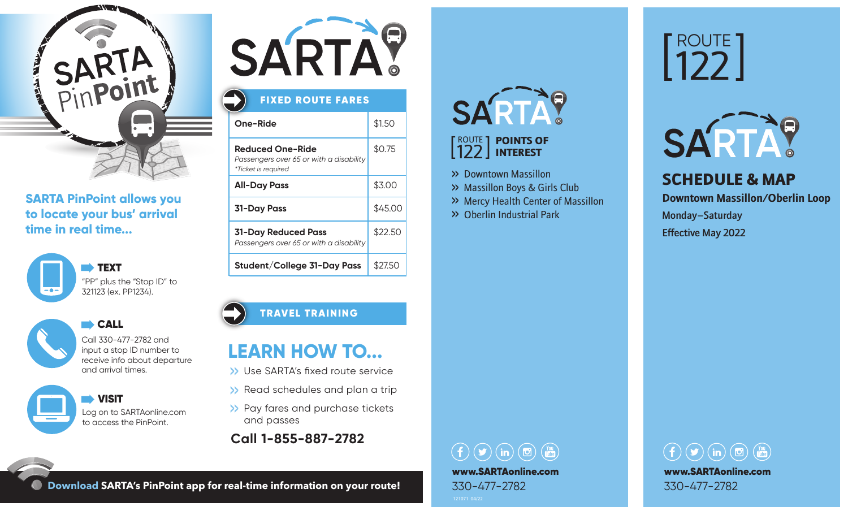

### **SARTA PinPoint allows you to locate your bus' arrival time in real time...**





CALL CALL Call 330-477-2782 and

input a stop ID number to receive info about departure and arrival times.

 VISIT Log on to SARTAonline.com to access the PinPoint.



### **One-Ride** \$1.50 **Reduced One-Ride** \$0.75 *Passengers over 65 or with a disability*  $*$ Ticket is  $\overline{\phantom{a}}$ FIXED ROUTE FARES

| " LICKET IS required                                                  |         |
|-----------------------------------------------------------------------|---------|
| <b>All-Day Pass</b>                                                   | \$3.00  |
| <b>31-Day Pass</b>                                                    | \$45.00 |
| <b>31-Day Reduced Pass</b><br>Passengers over 65 or with a disability | \$22.50 |
| Student/College 31-Day Pass                                           | \$27.50 |

### TRAVEL TRAINING

# **LEARN HOW TO...**

- >> Use SARTA's fixed route service
- >> Read schedules and plan a trip
- >> Pay fares and purchase tickets and passes
- **Call 1-855-887-2782**

# SARTAY

#### **ROUTE** 1 122 INTEREST POINTS OF

- >> Downtown Massillon
- >> Massillon Boys & Girls Club
- >> Mercy Health Center of Massillon
- >> Oberlin Industrial Park

# ROUTE 122



SCHEDULE & MAP

**Downtown Massillon/Oberlin Loop**

Monday–Saturday Effective May 2022

## $\left(\begin{array}{ccc} 0 & \text{(m)} \\ 0 & \text{(m)} \end{array}\right)$ www.SARTAonline.com 330-477-2782



**Download SARTA's PinPoint app for real-time information on your route!**